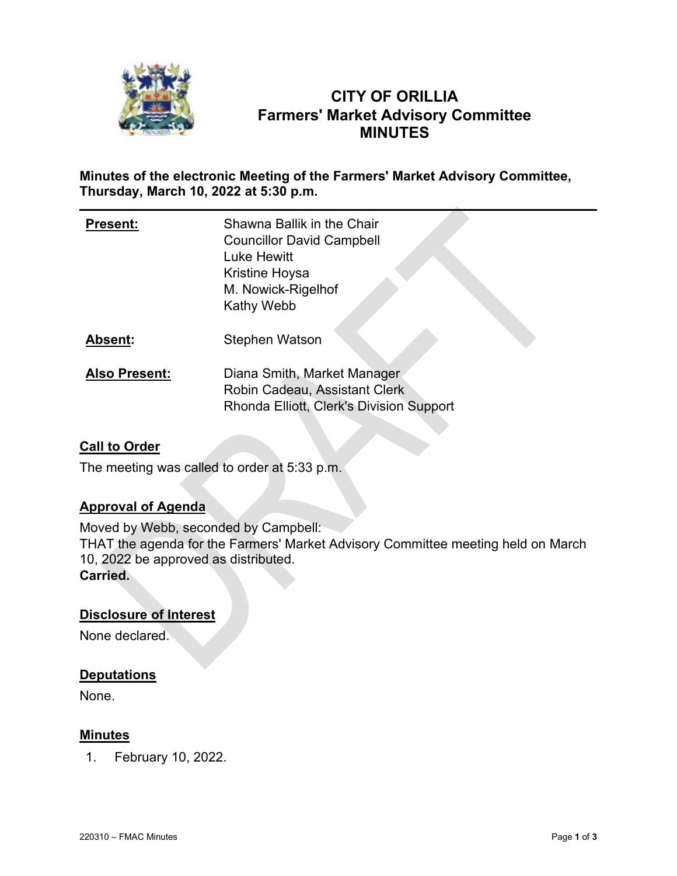

# **CITY OF ORILLIA Farmers' Market Advisory Committee MINUTES**

## **Minutes of the electronic Meeting of the Farmers' Market Advisory Committee, Thursday, March 10, 2022 at 5:30 p.m.**

| <b>Present:</b>      | Shawna Ballik in the Chair<br><b>Councillor David Campbell</b><br>Luke Hewitt<br>Kristine Hoysa<br>M. Nowick-Rigelhof<br><b>Kathy Webb</b> |
|----------------------|--------------------------------------------------------------------------------------------------------------------------------------------|
| Absent:              | <b>Stephen Watson</b>                                                                                                                      |
| <b>Also Present:</b> | Diana Smith, Market Manager<br>Robin Cadeau, Assistant Clerk<br>Rhonda Elliott, Clerk's Division Support                                   |

## **Call to Order**

The meeting was called to order at 5:33 p.m.

## **Approval of Agenda**

Moved by Webb, seconded by Campbell: THAT the agenda for the Farmers' Market Advisory Committee meeting held on March 10, 2022 be approved as distributed. **Carried.**

## **Disclosure of Interest**

None declared.

## **Deputations**

None.

## **Minutes**

1. February 10, 2022.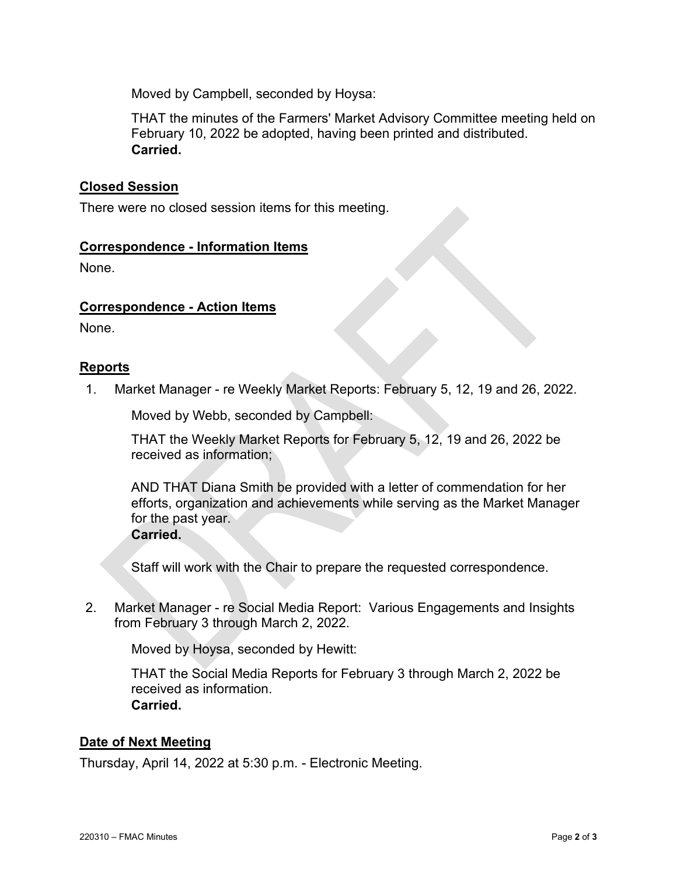Moved by Campbell, seconded by Hoysa:

THAT the minutes of the Farmers' Market Advisory Committee meeting held on February 10, 2022 be adopted, having been printed and distributed. **Carried.**

## **Closed Session**

There were no closed session items for this meeting.

#### **Correspondence - Information Items**

None.

#### **Correspondence - Action Items**

None.

#### **Reports**

1. Market Manager - re Weekly Market Reports: February 5, 12, 19 and 26, 2022.

Moved by Webb, seconded by Campbell:

THAT the Weekly Market Reports for February 5, 12, 19 and 26, 2022 be received as information;

AND THAT Diana Smith be provided with a letter of commendation for her efforts, organization and achievements while serving as the Market Manager for the past year. **Carried.**

Staff will work with the Chair to prepare the requested correspondence.

2. Market Manager - re Social Media Report: Various Engagements and Insights from February 3 through March 2, 2022.

Moved by Hoysa, seconded by Hewitt:

THAT the Social Media Reports for February 3 through March 2, 2022 be received as information. **Carried.**

#### **Date of Next Meeting**

Thursday, April 14, 2022 at 5:30 p.m. - Electronic Meeting.